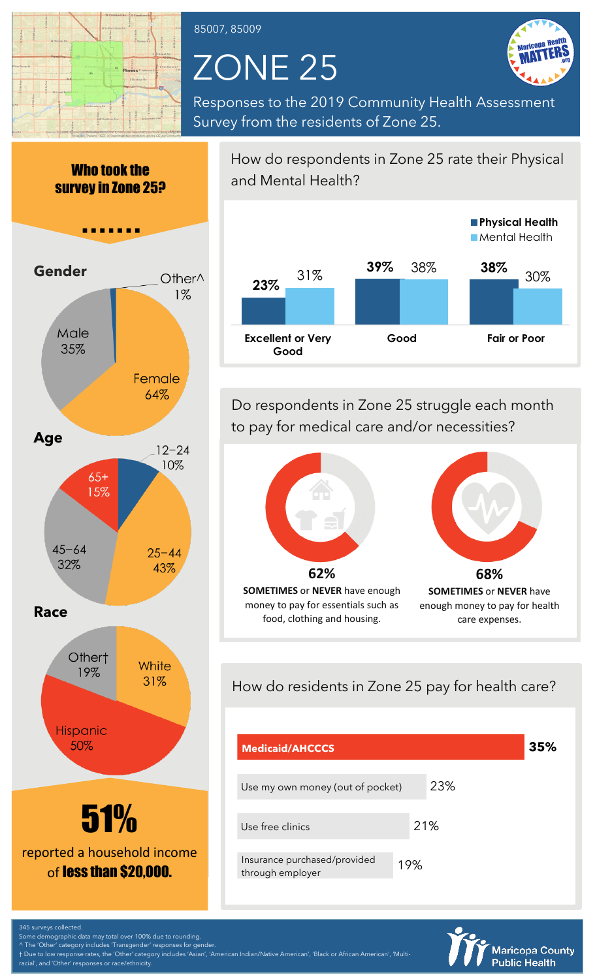

#### 85007, 85009

# ZONE 25



Responses to the 2019 Community Health Assessment Survey from the residents of Zone 25.



How do respondents in Zone 25 rate their Physical and Mental Health?



Do respondents in Zone 25 struggle each month to pay for medical care and/or necessities?



How do residents in Zone 25 pay for health care?